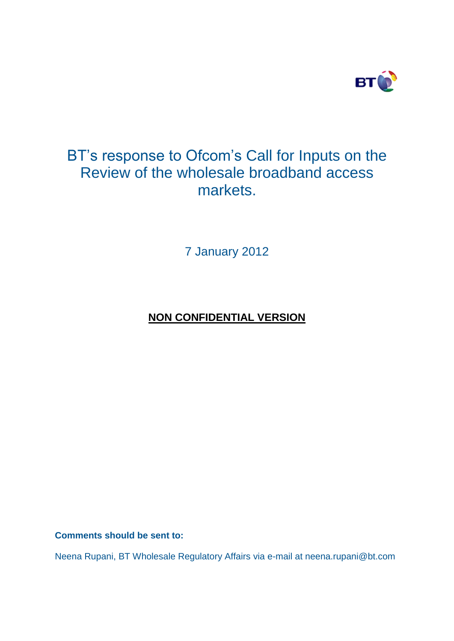

# BT's response to Ofcom's Call for Inputs on the Review of the wholesale broadband access markets.

7 January 2012

# **NON CONFIDENTIAL VERSION**

**Comments should be sent to:** 

Neena Rupani, BT Wholesale Regulatory Affairs via e-mail at neena.rupani@bt.com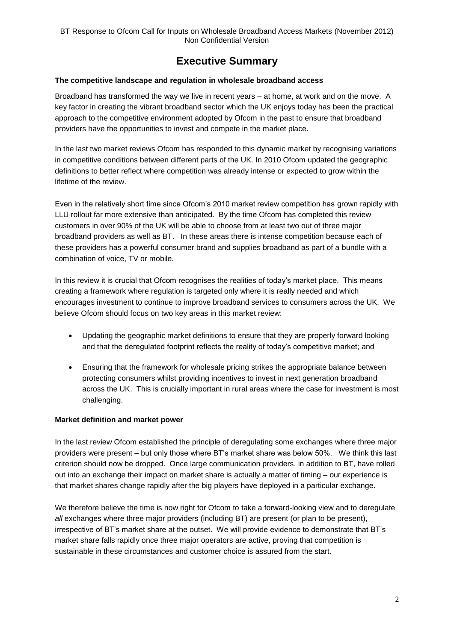# **Executive Summary**

#### **The competitive landscape and regulation in wholesale broadband access**

Broadband has transformed the way we live in recent years – at home, at work and on the move. A key factor in creating the vibrant broadband sector which the UK enjoys today has been the practical approach to the competitive environment adopted by Ofcom in the past to ensure that broadband providers have the opportunities to invest and compete in the market place.

In the last two market reviews Ofcom has responded to this dynamic market by recognising variations in competitive conditions between different parts of the UK. In 2010 Ofcom updated the geographic definitions to better reflect where competition was already intense or expected to grow within the lifetime of the review.

Even in the relatively short time since Ofcom's 2010 market review competition has grown rapidly with LLU rollout far more extensive than anticipated. By the time Ofcom has completed this review customers in over 90% of the UK will be able to choose from at least two out of three major broadband providers as well as BT. In these areas there is intense competition because each of these providers has a powerful consumer brand and supplies broadband as part of a bundle with a combination of voice, TV or mobile.

In this review it is crucial that Ofcom recognises the realities of today's market place. This means creating a framework where regulation is targeted only where it is really needed and which encourages investment to continue to improve broadband services to consumers across the UK. We believe Ofcom should focus on two key areas in this market review:

- Updating the geographic market definitions to ensure that they are properly forward looking and that the deregulated footprint reflects the reality of today's competitive market; and
- Ensuring that the framework for wholesale pricing strikes the appropriate balance between protecting consumers whilst providing incentives to invest in next generation broadband across the UK. This is crucially important in rural areas where the case for investment is most challenging.

#### **Market definition and market power**

In the last review Ofcom established the principle of deregulating some exchanges where three major providers were present – but only those where BT's market share was below 50%. We think this last criterion should now be dropped. Once large communication providers, in addition to BT, have rolled out into an exchange their impact on market share is actually a matter of timing – our experience is that market shares change rapidly after the big players have deployed in a particular exchange.

We therefore believe the time is now right for Ofcom to take a forward-looking view and to deregulate *all* exchanges where three major providers (including BT) are present (or plan to be present), irrespective of BT's market share at the outset. We will provide evidence to demonstrate that BT's market share falls rapidly once three major operators are active, proving that competition is sustainable in these circumstances and customer choice is assured from the start.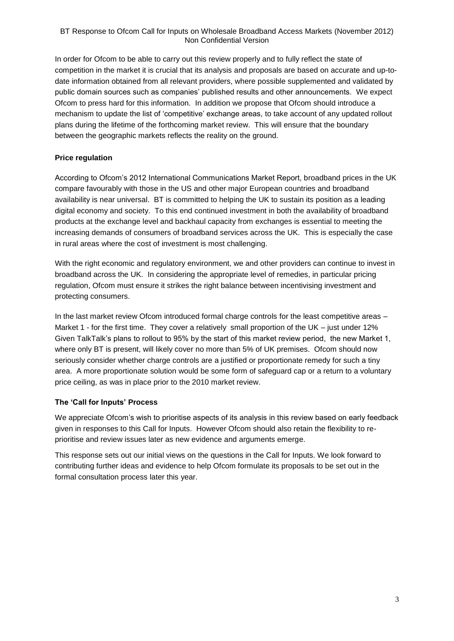In order for Ofcom to be able to carry out this review properly and to fully reflect the state of competition in the market it is crucial that its analysis and proposals are based on accurate and up-todate information obtained from all relevant providers, where possible supplemented and validated by public domain sources such as companies' published results and other announcements. We expect Ofcom to press hard for this information. In addition we propose that Ofcom should introduce a mechanism to update the list of 'competitive' exchange areas, to take account of any updated rollout plans during the lifetime of the forthcoming market review. This will ensure that the boundary between the geographic markets reflects the reality on the ground.

#### **Price regulation**

According to Ofcom's 2012 International Communications Market Report, broadband prices in the UK compare favourably with those in the US and other major European countries and broadband availability is near universal. BT is committed to helping the UK to sustain its position as a leading digital economy and society. To this end continued investment in both the availability of broadband products at the exchange level and backhaul capacity from exchanges is essential to meeting the increasing demands of consumers of broadband services across the UK. This is especially the case in rural areas where the cost of investment is most challenging.

With the right economic and regulatory environment, we and other providers can continue to invest in broadband across the UK. In considering the appropriate level of remedies, in particular pricing regulation, Ofcom must ensure it strikes the right balance between incentivising investment and protecting consumers.

In the last market review Ofcom introduced formal charge controls for the least competitive areas – Market 1 - for the first time. They cover a relatively small proportion of the UK – just under 12% Given TalkTalk's plans to rollout to 95% by the start of this market review period, the new Market 1, where only BT is present, will likely cover no more than 5% of UK premises. Ofcom should now seriously consider whether charge controls are a justified or proportionate remedy for such a tiny area. A more proportionate solution would be some form of safeguard cap or a return to a voluntary price ceiling, as was in place prior to the 2010 market review.

# **The 'Call for Inputs' Process**

We appreciate Ofcom's wish to prioritise aspects of its analysis in this review based on early feedback given in responses to this Call for Inputs. However Ofcom should also retain the flexibility to reprioritise and review issues later as new evidence and arguments emerge.

This response sets out our initial views on the questions in the Call for Inputs. We look forward to contributing further ideas and evidence to help Ofcom formulate its proposals to be set out in the formal consultation process later this year.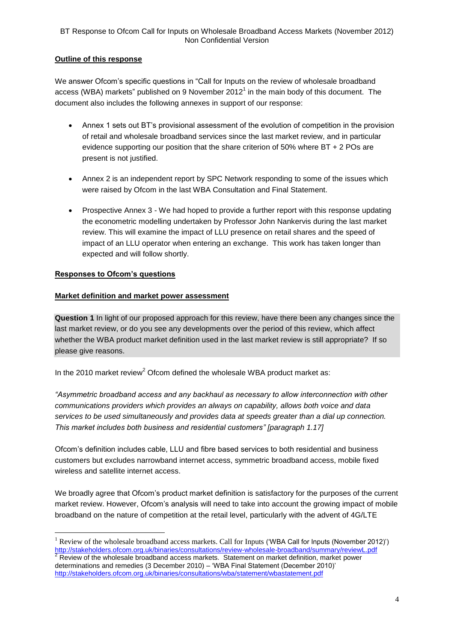# **Outline of this response**

We answer Ofcom's specific questions in "Call for Inputs on the review of wholesale broadband access (WBA) markets" published on 9 November 2012<sup>1</sup> in the main body of this document. The document also includes the following annexes in support of our response:

- Annex 1 sets out BT's provisional assessment of the evolution of competition in the provision of retail and wholesale broadband services since the last market review, and in particular evidence supporting our position that the share criterion of 50% where BT + 2 POs are present is not justified.
- Annex 2 is an independent report by SPC Network responding to some of the issues which were raised by Ofcom in the last WBA Consultation and Final Statement.
- Prospective Annex 3 We had hoped to provide a further report with this response updating the econometric modelling undertaken by Professor John Nankervis during the last market review. This will examine the impact of LLU presence on retail shares and the speed of impact of an LLU operator when entering an exchange. This work has taken longer than expected and will follow shortly.

#### **Responses to Ofcom's questions**

1

#### **Market definition and market power assessment**

**Question 1** In light of our proposed approach for this review, have there been any changes since the last market review, or do you see any developments over the period of this review, which affect whether the WBA product market definition used in the last market review is still appropriate? If so please give reasons.

In the 2010 market review<sup>2</sup> Ofcom defined the wholesale WBA product market as:

*"Asymmetric broadband access and any backhaul as necessary to allow interconnection with other communications providers which provides an always on capability, allows both voice and data services to be used simultaneously and provides data at speeds greater than a dial up connection. This market includes both business and residential customers" [paragraph 1.17]*

Ofcom's definition includes cable, LLU and fibre based services to both residential and business customers but excludes narrowband internet access, symmetric broadband access, mobile fixed wireless and satellite internet access.

We broadly agree that Ofcom's product market definition is satisfactory for the purposes of the current market review. However, Ofcom's analysis will need to take into account the growing impact of mobile broadband on the nature of competition at the retail level, particularly with the advent of 4G/LTE

<sup>&</sup>lt;sup>1</sup> Review of the wholesale broadband access markets. Call for Inputs ('WBA Call for Inputs (November 2012)') <http://stakeholders.ofcom.org.uk/binaries/consultations/review-wholesale-broadband/summary/reviewL.pdf>  $2$  Review of the wholesale broadband access markets. Statement on market definition, market power determinations and remedies (3 December 2010) – 'WBA Final Statement (December 2010)' <http://stakeholders.ofcom.org.uk/binaries/consultations/wba/statement/wbastatement.pdf>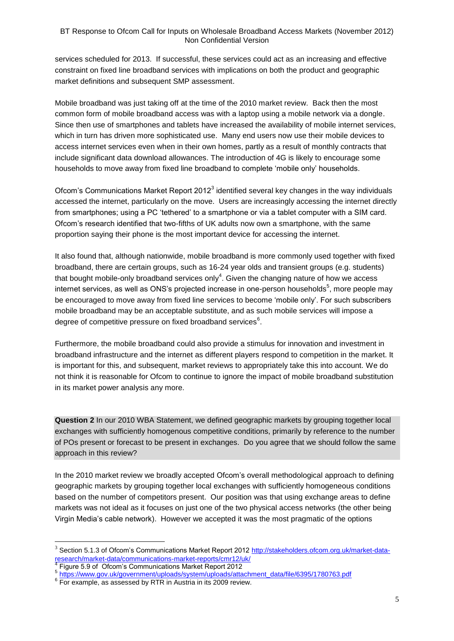services scheduled for 2013. If successful, these services could act as an increasing and effective constraint on fixed line broadband services with implications on both the product and geographic market definitions and subsequent SMP assessment.

Mobile broadband was just taking off at the time of the 2010 market review. Back then the most common form of mobile broadband access was with a laptop using a mobile network via a dongle. Since then use of smartphones and tablets have increased the availability of mobile internet services, which in turn has driven more sophisticated use. Many end users now use their mobile devices to access internet services even when in their own homes, partly as a result of monthly contracts that include significant data download allowances. The introduction of 4G is likely to encourage some households to move away from fixed line broadband to complete 'mobile only' households.

Ofcom's Communications Market Report 2012 $3$  identified several key changes in the way individuals accessed the internet, particularly on the move. Users are increasingly accessing the internet directly from smartphones; using a PC 'tethered' to a smartphone or via a tablet computer with a SIM card. Ofcom's research identified that two-fifths of UK adults now own a smartphone, with the same proportion saying their phone is the most important device for accessing the internet.

It also found that, although nationwide, mobile broadband is more commonly used together with fixed broadband, there are certain groups, such as 16-24 year olds and transient groups (e.g. students) that bought mobile-only broadband services only<sup>4</sup>. Given the changing nature of how we access internet services, as well as ONS's projected increase in one-person households<sup>5</sup>, more people may be encouraged to move away from fixed line services to become 'mobile only'. For such subscribers mobile broadband may be an acceptable substitute, and as such mobile services will impose a degree of competitive pressure on fixed broadband services $6$ .

Furthermore, the mobile broadband could also provide a stimulus for innovation and investment in broadband infrastructure and the internet as different players respond to competition in the market. It is important for this, and subsequent, market reviews to appropriately take this into account. We do not think it is reasonable for Ofcom to continue to ignore the impact of mobile broadband substitution in its market power analysis any more.

**Question 2** In our 2010 WBA Statement, we defined geographic markets by grouping together local exchanges with sufficiently homogenous competitive conditions, primarily by reference to the number of POs present or forecast to be present in exchanges. Do you agree that we should follow the same approach in this review?

In the 2010 market review we broadly accepted Ofcom's overall methodological approach to defining geographic markets by grouping together local exchanges with sufficiently homogeneous conditions based on the number of competitors present. Our position was that using exchange areas to define markets was not ideal as it focuses on just one of the two physical access networks (the other being Virgin Media's cable network). However we accepted it was the most pragmatic of the options

<u>.</u>

<sup>3</sup> Section 5.1.3 of Ofcom's Communications Market Report 2012 [http://stakeholders.ofcom.org.uk/market-data](http://stakeholders.ofcom.org.uk/market-data-research/market-data/communications-market-reports/cmr12/uk/)[research/market-data/communications-market-reports/cmr12/uk/](http://stakeholders.ofcom.org.uk/market-data-research/market-data/communications-market-reports/cmr12/uk/) 4

Figure 5.9 of Ofcom's Communications Market Report 2012

<sup>5</sup> [https://www.gov.uk/government/uploads/system/uploads/attachment\\_data/file/6395/1780763.pdf](https://www.gov.uk/government/uploads/system/uploads/attachment_data/file/6395/1780763.pdf)

<sup>6</sup> For example, as assessed by RTR in Austria in its 2009 review.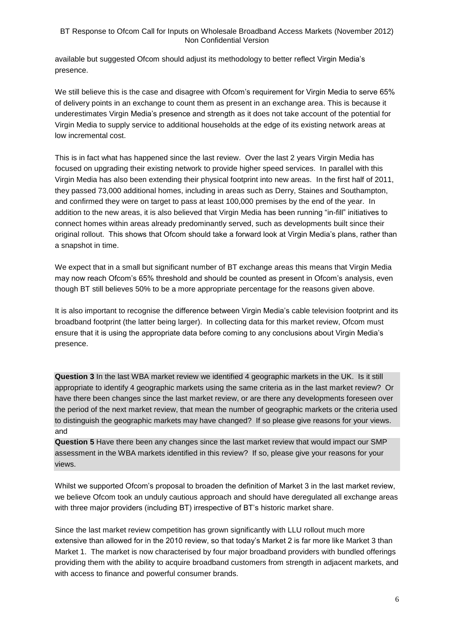available but suggested Ofcom should adjust its methodology to better reflect Virgin Media's presence.

We still believe this is the case and disagree with Ofcom's requirement for Virgin Media to serve 65% of delivery points in an exchange to count them as present in an exchange area. This is because it underestimates Virgin Media's presence and strength as it does not take account of the potential for Virgin Media to supply service to additional households at the edge of its existing network areas at low incremental cost.

This is in fact what has happened since the last review. Over the last 2 years Virgin Media has focused on upgrading their existing network to provide higher speed services. In parallel with this Virgin Media has also been extending their physical footprint into new areas. In the first half of 2011, they passed 73,000 additional homes, including in areas such as Derry, Staines and Southampton, and confirmed they were on target to pass at least 100,000 premises by the end of the year. In addition to the new areas, it is also believed that Virgin Media has been running "in-fill" initiatives to connect homes within areas already predominantly served, such as developments built since their original rollout. This shows that Ofcom should take a forward look at Virgin Media's plans, rather than a snapshot in time.

We expect that in a small but significant number of BT exchange areas this means that Virgin Media may now reach Ofcom's 65% threshold and should be counted as present in Ofcom's analysis, even though BT still believes 50% to be a more appropriate percentage for the reasons given above.

It is also important to recognise the difference between Virgin Media's cable television footprint and its broadband footprint (the latter being larger). In collecting data for this market review, Ofcom must ensure that it is using the appropriate data before coming to any conclusions about Virgin Media's presence.

**Question 3** In the last WBA market review we identified 4 geographic markets in the UK. Is it still appropriate to identify 4 geographic markets using the same criteria as in the last market review? Or have there been changes since the last market review, or are there any developments foreseen over the period of the next market review, that mean the number of geographic markets or the criteria used to distinguish the geographic markets may have changed? If so please give reasons for your views. and

**Question 5** Have there been any changes since the last market review that would impact our SMP assessment in the WBA markets identified in this review? If so, please give your reasons for your views.

Whilst we supported Ofcom's proposal to broaden the definition of Market 3 in the last market review, we believe Ofcom took an unduly cautious approach and should have deregulated all exchange areas with three major providers (including BT) irrespective of BT's historic market share.

Since the last market review competition has grown significantly with LLU rollout much more extensive than allowed for in the 2010 review, so that today's Market 2 is far more like Market 3 than Market 1. The market is now characterised by four major broadband providers with bundled offerings providing them with the ability to acquire broadband customers from strength in adjacent markets, and with access to finance and powerful consumer brands.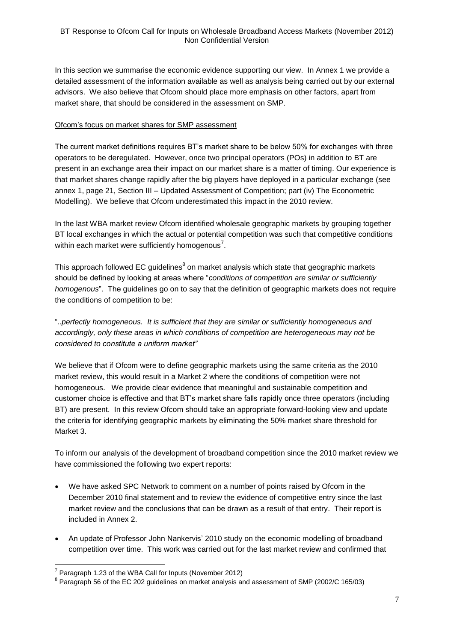In this section we summarise the economic evidence supporting our view. In Annex 1 we provide a detailed assessment of the information available as well as analysis being carried out by our external advisors. We also believe that Ofcom should place more emphasis on other factors, apart from market share, that should be considered in the assessment on SMP.

#### Ofcom's focus on market shares for SMP assessment

The current market definitions requires BT's market share to be below 50% for exchanges with three operators to be deregulated. However, once two principal operators (POs) in addition to BT are present in an exchange area their impact on our market share is a matter of timing. Our experience is that market shares change rapidly after the big players have deployed in a particular exchange (see annex 1, page 21, Section III – Updated Assessment of Competition; part (iv) The Econometric Modelling). We believe that Ofcom underestimated this impact in the 2010 review.

In the last WBA market review Ofcom identified wholesale geographic markets by grouping together BT local exchanges in which the actual or potential competition was such that competitive conditions within each market were sufficiently homogenous<sup>7</sup>.

This approach followed EC guidelines<sup>8</sup> on market analysis which state that geographic markets should be defined by looking at areas where "*conditions of competition are similar or sufficiently homogenous*". The guidelines go on to say that the definition of geographic markets does not require the conditions of competition to be:

"..*perfectly homogeneous. It is sufficient that they are similar or sufficiently homogeneous and accordingly, only these areas in which conditions of competition are heterogeneous may not be considered to constitute a uniform market"*

We believe that if Ofcom were to define geographic markets using the same criteria as the 2010 market review, this would result in a Market 2 where the conditions of competition were not homogeneous. We provide clear evidence that meaningful and sustainable competition and customer choice is effective and that BT's market share falls rapidly once three operators (including BT) are present. In this review Ofcom should take an appropriate forward-looking view and update the criteria for identifying geographic markets by eliminating the 50% market share threshold for Market 3.

To inform our analysis of the development of broadband competition since the 2010 market review we have commissioned the following two expert reports:

- We have asked SPC Network to comment on a number of points raised by Ofcom in the December 2010 final statement and to review the evidence of competitive entry since the last market review and the conclusions that can be drawn as a result of that entry. Their report is included in Annex 2.
- An update of Professor John Nankervis' 2010 study on the economic modelling of broadband competition over time. This work was carried out for the last market review and confirmed that

 $7$  Paragraph 1.23 of the WBA Call for Inputs (November 2012)

 $8$  Paragraph 56 of the EC 202 guidelines on market analysis and assessment of SMP (2002/C 165/03)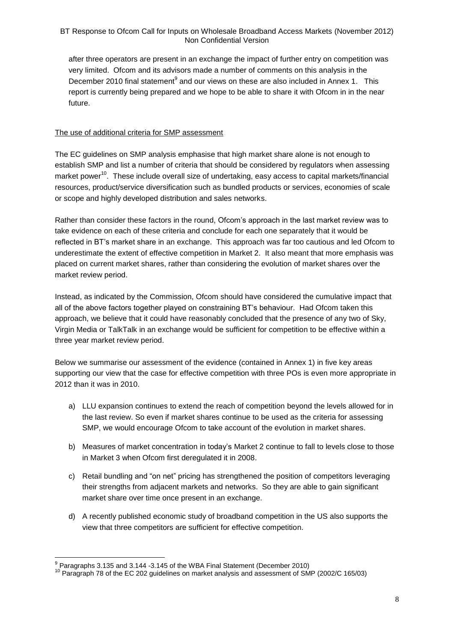after three operators are present in an exchange the impact of further entry on competition was very limited. Ofcom and its advisors made a number of comments on this analysis in the December 2010 final statement $^9$  and our views on these are also included in Annex 1. This report is currently being prepared and we hope to be able to share it with Ofcom in in the near future.

## The use of additional criteria for SMP assessment

The EC guidelines on SMP analysis emphasise that high market share alone is not enough to establish SMP and list a number of criteria that should be considered by regulators when assessing market power<sup>10</sup>. These include overall size of undertaking, easy access to capital markets/financial resources, product/service diversification such as bundled products or services, economies of scale or scope and highly developed distribution and sales networks.

Rather than consider these factors in the round, Ofcom's approach in the last market review was to take evidence on each of these criteria and conclude for each one separately that it would be reflected in BT's market share in an exchange. This approach was far too cautious and led Ofcom to underestimate the extent of effective competition in Market 2. It also meant that more emphasis was placed on current market shares, rather than considering the evolution of market shares over the market review period.

Instead, as indicated by the Commission, Ofcom should have considered the cumulative impact that all of the above factors together played on constraining BT's behaviour. Had Ofcom taken this approach, we believe that it could have reasonably concluded that the presence of any two of Sky, Virgin Media or TalkTalk in an exchange would be sufficient for competition to be effective within a three year market review period.

Below we summarise our assessment of the evidence (contained in Annex 1) in five key areas supporting our view that the case for effective competition with three POs is even more appropriate in 2012 than it was in 2010.

- a) LLU expansion continues to extend the reach of competition beyond the levels allowed for in the last review. So even if market shares continue to be used as the criteria for assessing SMP, we would encourage Ofcom to take account of the evolution in market shares.
- b) Measures of market concentration in today's Market 2 continue to fall to levels close to those in Market 3 when Ofcom first deregulated it in 2008.
- c) Retail bundling and "on net" pricing has strengthened the position of competitors leveraging their strengths from adjacent markets and networks. So they are able to gain significant market share over time once present in an exchange.
- d) A recently published economic study of broadband competition in the US also supports the view that three competitors are sufficient for effective competition.

 9 Paragraphs 3.135 and 3.144 -3.145 of the WBA Final Statement (December 2010)

<sup>&</sup>lt;sup>10</sup> Paragraph 78 of the EC 202 guidelines on market analysis and assessment of SMP (2002/C 165/03)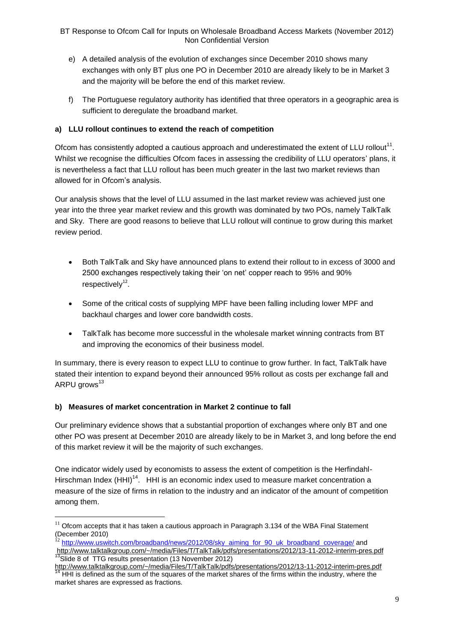- e) A detailed analysis of the evolution of exchanges since December 2010 shows many exchanges with only BT plus one PO in December 2010 are already likely to be in Market 3 and the majority will be before the end of this market review.
- f) The Portuguese regulatory authority has identified that three operators in a geographic area is sufficient to deregulate the broadband market.

# **a) LLU rollout continues to extend the reach of competition**

Ofcom has consistently adopted a cautious approach and underestimated the extent of LLU rollout<sup>11</sup>. Whilst we recognise the difficulties Ofcom faces in assessing the credibility of LLU operators' plans, it is nevertheless a fact that LLU rollout has been much greater in the last two market reviews than allowed for in Ofcom's analysis.

Our analysis shows that the level of LLU assumed in the last market review was achieved just one year into the three year market review and this growth was dominated by two POs, namely TalkTalk and Sky. There are good reasons to believe that LLU rollout will continue to grow during this market review period.

- Both TalkTalk and Sky have announced plans to extend their rollout to in excess of 3000 and 2500 exchanges respectively taking their 'on net' copper reach to 95% and 90%  $respectively<sup>12</sup>.$
- Some of the critical costs of supplying MPF have been falling including lower MPF and backhaul charges and lower core bandwidth costs.
- TalkTalk has become more successful in the wholesale market winning contracts from BT and improving the economics of their business model.

In summary, there is every reason to expect LLU to continue to grow further. In fact, TalkTalk have stated their intention to expand beyond their announced 95% rollout as costs per exchange fall and ARPU grows<sup>13</sup>

# **b) Measures of market concentration in Market 2 continue to fall**

1

Our preliminary evidence shows that a substantial proportion of exchanges where only BT and one other PO was present at December 2010 are already likely to be in Market 3, and long before the end of this market review it will be the majority of such exchanges.

One indicator widely used by economists to assess the extent of competition is the Herfindahl-Hirschman Index (HHI)<sup>14</sup>. HHI is an economic index used to measure market concentration a measure of the size of firms in relation to the industry and an indicator of the amount of competition among them.

 $11$  Ofcom accepts that it has taken a cautious approach in Paragraph 3.134 of the WBA Final Statement (December 2010)

[http://www.uswitch.com/broadband/news/2012/08/sky\\_aiming\\_for\\_90\\_uk\\_broadband\\_coverage/](http://www.uswitch.com/broadband/news/2012/08/sky_aiming_for_90_uk_broadband_coverage/) and

<http://www.talktalkgroup.com/~/media/Files/T/TalkTalk/pdfs/presentations/2012/13-11-2012-interim-pres.pdf> <sup>13</sup>Slide 8 of TTG results presentation (13 November 2012)

<http://www.talktalkgroup.com/~/media/Files/T/TalkTalk/pdfs/presentations/2012/13-11-2012-interim-pres.pdf>  $14$  HHI is defined as the sum of the squares of the market shares of the firms within the industry, where the market shares are expressed as fractions.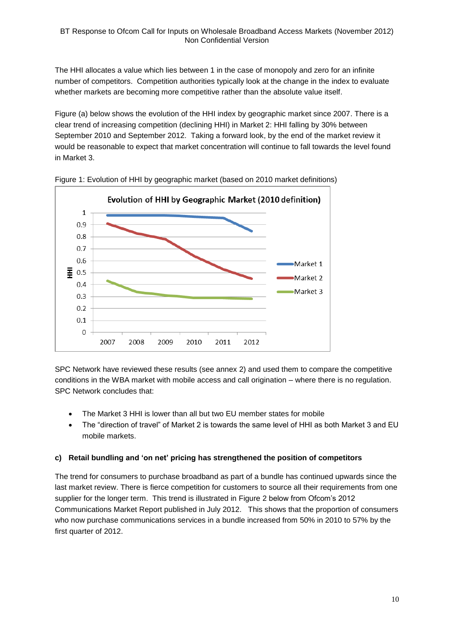The HHI allocates a value which lies between 1 in the case of monopoly and zero for an infinite number of competitors. Competition authorities typically look at the change in the index to evaluate whether markets are becoming more competitive rather than the absolute value itself.

Figure (a) below shows the evolution of the HHI index by geographic market since 2007. There is a clear trend of increasing competition (declining HHI) in Market 2: HHI falling by 30% between September 2010 and September 2012. Taking a forward look, by the end of the market review it would be reasonable to expect that market concentration will continue to fall towards the level found in Market 3.



Figure 1: Evolution of HHI by geographic market (based on 2010 market definitions)

SPC Network have reviewed these results (see annex 2) and used them to compare the competitive conditions in the WBA market with mobile access and call origination – where there is no regulation. SPC Network concludes that:

- The Market 3 HHI is lower than all but two EU member states for mobile
- The "direction of travel" of Market 2 is towards the same level of HHI as both Market 3 and EU mobile markets.

# **c) Retail bundling and 'on net' pricing has strengthened the position of competitors**

The trend for consumers to purchase broadband as part of a bundle has continued upwards since the last market review. There is fierce competition for customers to source all their requirements from one supplier for the longer term. This trend is illustrated in Figure 2 below from Ofcom's 2012 Communications Market Report published in July 2012. This shows that the proportion of consumers who now purchase communications services in a bundle increased from 50% in 2010 to 57% by the first quarter of 2012.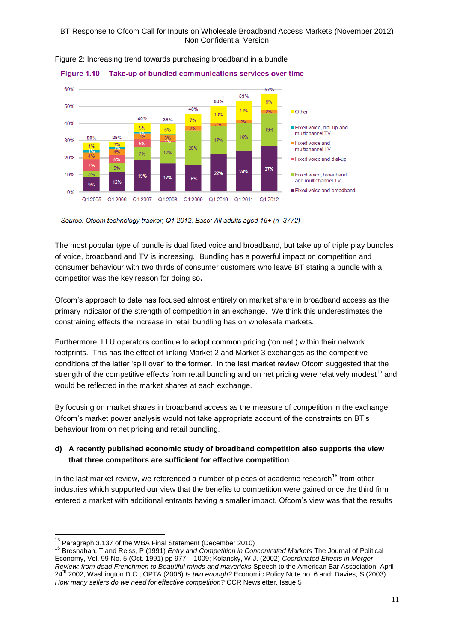

Figure 2: Increasing trend towards purchasing broadband in a bundle

Source: Ofcom technology tracker, Q1 2012. Base: All adults aged 16+ (n=3772)

The most popular type of bundle is dual fixed voice and broadband, but take up of triple play bundles of voice, broadband and TV is increasing. Bundling has a powerful impact on competition and consumer behaviour with two thirds of consumer customers who leave BT stating a bundle with a competitor was the key reason for doing so**.**

Ofcom's approach to date has focused almost entirely on market share in broadband access as the primary indicator of the strength of competition in an exchange. We think this underestimates the constraining effects the increase in retail bundling has on wholesale markets.

Furthermore, LLU operators continue to adopt common pricing ('on net') within their network footprints. This has the effect of linking Market 2 and Market 3 exchanges as the competitive conditions of the latter 'spill over' to the former. In the last market review Ofcom suggested that the strength of the competitive effects from retail bundling and on net pricing were relatively modest<sup>15</sup> and would be reflected in the market shares at each exchange.

By focusing on market shares in broadband access as the measure of competition in the exchange, Ofcom's market power analysis would not take appropriate account of the constraints on BT's behaviour from on net pricing and retail bundling.

# **d) A recently published economic study of broadband competition also supports the view that three competitors are sufficient for effective competition**

In the last market review, we referenced a number of pieces of academic research<sup>16</sup> from other industries which supported our view that the benefits to competition were gained once the third firm entered a market with additional entrants having a smaller impact. Ofcom's view was that the results

<sup>1</sup>  $15$  Paragraph 3.137 of the WBA Final Statement (December 2010)

<sup>16</sup> Bresnahan, T and Reiss, P (1991) *Entry and Competition in Concentrated Markets* The Journal of Political Economy, Vol. 99 No. 5 (Oct. 1991) pp 977 – 1009; Kolansky, W.J. (2002) *Coordinated Effects in Merger Review: from dead Frenchmen to Beautiful minds and mavericks* Speech to the American Bar Association, April 24th 2002, Washington D.C.; OPTA (2006) *Is two enough?* Economic Policy Note no. 6 and; Davies, S (2003) *How many sellers do we need for effective competition?* CCR Newsletter, Issue 5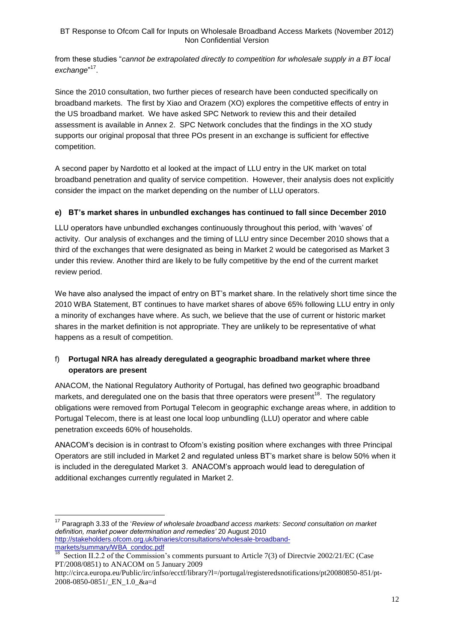from these studies "*cannot be extrapolated directly to competition for wholesale supply in a BT local*  exchange"<sup>17</sup>.

Since the 2010 consultation, two further pieces of research have been conducted specifically on broadband markets. The first by Xiao and Orazem (XO) explores the competitive effects of entry in the US broadband market. We have asked SPC Network to review this and their detailed assessment is available in Annex 2. SPC Network concludes that the findings in the XO study supports our original proposal that three POs present in an exchange is sufficient for effective competition.

A second paper by Nardotto et al looked at the impact of LLU entry in the UK market on total broadband penetration and quality of service competition. However, their analysis does not explicitly consider the impact on the market depending on the number of LLU operators.

# **e) BT's market shares in unbundled exchanges has continued to fall since December 2010**

LLU operators have unbundled exchanges continuously throughout this period, with 'waves' of activity. Our analysis of exchanges and the timing of LLU entry since December 2010 shows that a third of the exchanges that were designated as being in Market 2 would be categorised as Market 3 under this review. Another third are likely to be fully competitive by the end of the current market review period.

We have also analysed the impact of entry on BT's market share. In the relatively short time since the 2010 WBA Statement, BT continues to have market shares of above 65% following LLU entry in only a minority of exchanges have where. As such, we believe that the use of current or historic market shares in the market definition is not appropriate. They are unlikely to be representative of what happens as a result of competition.

# f) **Portugal NRA has already deregulated a geographic broadband market where three operators are present**

ANACOM, the National Regulatory Authority of Portugal, has defined two geographic broadband markets, and deregulated one on the basis that three operators were present<sup>18</sup>. The regulatory obligations were removed from Portugal Telecom in geographic exchange areas where, in addition to Portugal Telecom, there is at least one local loop unbundling (LLU) operator and where cable penetration exceeds 60% of households.

ANACOM's decision is in contrast to Ofcom's existing position where exchanges with three Principal Operators are still included in Market 2 and regulated unless BT's market share is below 50% when it is included in the deregulated Market 3. ANACOM's approach would lead to deregulation of additional exchanges currently regulated in Market 2.

<sup>17</sup> Paragraph 3.33 of the '*Review of wholesale broadband access markets: Second consultation on market definition, market power determination and remedies'* 20 August 2010 [http://stakeholders.ofcom.org.uk/binaries/consultations/wholesale-broadband-](http://stakeholders.ofcom.org.uk/binaries/consultations/wholesale-broadband-markets/summary/WBA_condoc.pdf)

[markets/summary/WBA\\_condoc.pdf](http://stakeholders.ofcom.org.uk/binaries/consultations/wholesale-broadband-markets/summary/WBA_condoc.pdf)<br><sup>18</sup> Section II.2.2 of the Commission Section II.2.2 of the Commission's comments pursuant to Article 7(3) of Directvie 2002/21/EC (Case PT/2008/0851) to ANACOM on 5 January 2009

http://circa.europa.eu/Public/irc/infso/ecctf/library?l=/portugal/registeredsnotifications/pt20080850-851/pt-2008-0850-0851/ EN 1.0 &a=d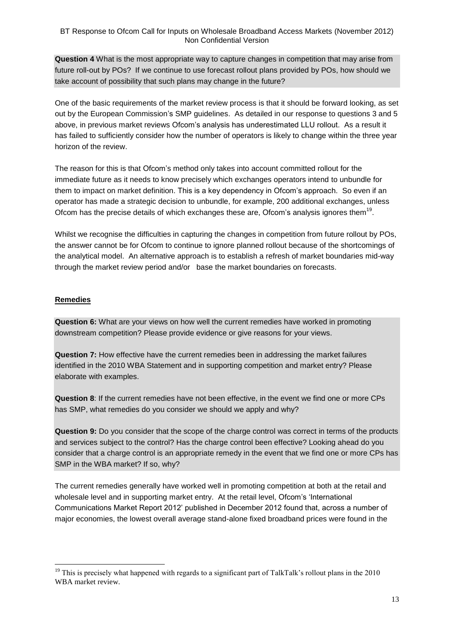**Question 4** What is the most appropriate way to capture changes in competition that may arise from future roll-out by POs? If we continue to use forecast rollout plans provided by POs, how should we take account of possibility that such plans may change in the future?

One of the basic requirements of the market review process is that it should be forward looking, as set out by the European Commission's SMP guidelines. As detailed in our response to questions 3 and 5 above, in previous market reviews Ofcom's analysis has underestimated LLU rollout. As a result it has failed to sufficiently consider how the number of operators is likely to change within the three year horizon of the review.

The reason for this is that Ofcom's method only takes into account committed rollout for the immediate future as it needs to know precisely which exchanges operators intend to unbundle for them to impact on market definition. This is a key dependency in Ofcom's approach. So even if an operator has made a strategic decision to unbundle, for example, 200 additional exchanges, unless Ofcom has the precise details of which exchanges these are, Ofcom's analysis ignores them $^{19}$ .

Whilst we recognise the difficulties in capturing the changes in competition from future rollout by POs, the answer cannot be for Ofcom to continue to ignore planned rollout because of the shortcomings of the analytical model. An alternative approach is to establish a refresh of market boundaries mid-way through the market review period and/or base the market boundaries on forecasts.

# **Remedies**

**Question 6:** What are your views on how well the current remedies have worked in promoting downstream competition? Please provide evidence or give reasons for your views.

**Question 7:** How effective have the current remedies been in addressing the market failures identified in the 2010 WBA Statement and in supporting competition and market entry? Please elaborate with examples.

**Question 8**: If the current remedies have not been effective, in the event we find one or more CPs has SMP, what remedies do you consider we should we apply and why?

**Question 9:** Do you consider that the scope of the charge control was correct in terms of the products and services subject to the control? Has the charge control been effective? Looking ahead do you consider that a charge control is an appropriate remedy in the event that we find one or more CPs has SMP in the WBA market? If so, why?

The current remedies generally have worked well in promoting competition at both at the retail and wholesale level and in supporting market entry. At the retail level, Ofcom's 'International Communications Market Report 2012' published in December 2012 found that, across a number of major economies, the lowest overall average stand-alone fixed broadband prices were found in the

<sup>1</sup> <sup>19</sup> This is precisely what happened with regards to a significant part of TalkTalk's rollout plans in the 2010 WBA market review.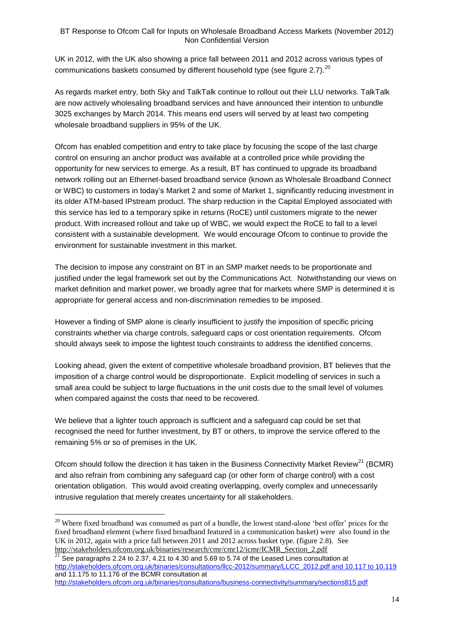UK in 2012, with the UK also showing a price fall between 2011 and 2012 across various types of communications baskets consumed by different household type (see figure 2.7). $^{20}$ 

As regards market entry, both Sky and TalkTalk continue to rollout out their LLU networks. TalkTalk are now actively wholesaling broadband services and have announced their intention to unbundle 3025 exchanges by March 2014. This means end users will served by at least two competing wholesale broadband suppliers in 95% of the UK.

Ofcom has enabled competition and entry to take place by focusing the scope of the last charge control on ensuring an anchor product was available at a controlled price while providing the opportunity for new services to emerge. As a result, BT has continued to upgrade its broadband network rolling out an Ethernet-based broadband service (known as Wholesale Broadband Connect or WBC) to customers in today's Market 2 and some of Market 1, significantly reducing investment in its older ATM-based IPstream product. The sharp reduction in the Capital Employed associated with this service has led to a temporary spike in returns (RoCE) until customers migrate to the newer product. With increased rollout and take up of WBC, we would expect the RoCE to fall to a level consistent with a sustainable development. We would encourage Ofcom to continue to provide the environment for sustainable investment in this market.

The decision to impose any constraint on BT in an SMP market needs to be proportionate and justified under the legal framework set out by the Communications Act. Notwithstanding our views on market definition and market power, we broadly agree that for markets where SMP is determined it is appropriate for general access and non-discrimination remedies to be imposed.

However a finding of SMP alone is clearly insufficient to justify the imposition of specific pricing constraints whether via charge controls, safeguard caps or cost orientation requirements. Ofcom should always seek to impose the lightest touch constraints to address the identified concerns.

Looking ahead, given the extent of competitive wholesale broadband provision, BT believes that the imposition of a charge control would be disproportionate. Explicit modelling of services in such a small area could be subject to large fluctuations in the unit costs due to the small level of volumes when compared against the costs that need to be recovered.

We believe that a lighter touch approach is sufficient and a safeguard cap could be set that recognised the need for further investment, by BT or others, to improve the service offered to the remaining 5% or so of premises in the UK.

Ofcom should follow the direction it has taken in the Business Connectivity Market Review<sup>21</sup> (BCMR) and also refrain from combining any safeguard cap (or other form of charge control) with a cost orientation obligation. This would avoid creating overlapping, overly complex and unnecessarily intrusive regulation that merely creates uncertainty for all stakeholders.

 $\frac{21}{21}$  See paragraphs 2.24 to 2.37, 4.21 to 4.30 and 5.69 to 5.74 of the Leased Lines consultation at [http://stakeholders.ofcom.org.uk/binaries/consultations/llcc-2012/summary/LLCC\\_2012.pdf and 10.117 to 10.119](http://stakeholders.ofcom.org.uk/binaries/consultations/llcc-2012/summary/LLCC_2012.pdf%20and%2010.117%20to%2010.119) and 11.175 to 11.176 of the BCMR consultation at

```
http://stakeholders.ofcom.org.uk/binaries/consultations/business-connectivity/summary/sections815.pdf
```
<u>.</u>

<sup>&</sup>lt;sup>20</sup> Where fixed broadband was consumed as part of a bundle, the lowest stand-alone 'best offer' prices for the fixed broadband element (where fixed broadband featured in a communication basket) were also found in the UK in 2012, again with a price fall between 2011 and 2012 across basket type. (figure 2.8). See [http://stakeholders.ofcom.org.uk/binaries/research/cmr/cmr12/icmr/ICMR\\_Section\\_2.pdf](http://stakeholders.ofcom.org.uk/binaries/research/cmr/cmr12/icmr/ICMR_Section_2.pdf)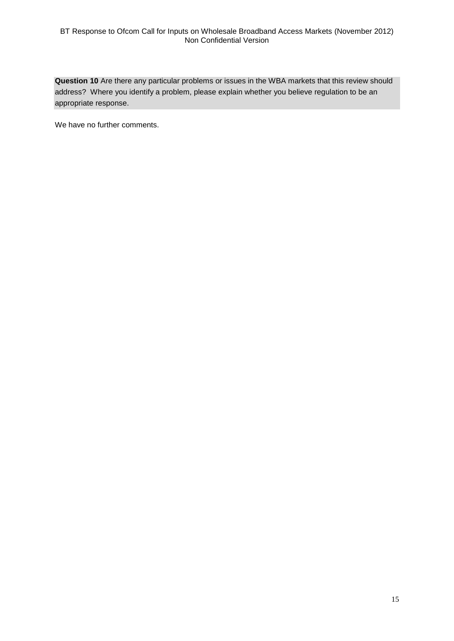**Question 10** Are there any particular problems or issues in the WBA markets that this review should address? Where you identify a problem, please explain whether you believe regulation to be an appropriate response.

We have no further comments.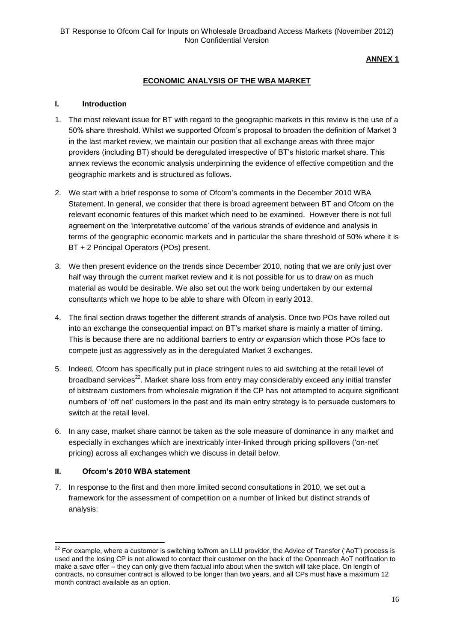**ANNEX 1**

# **ECONOMIC ANALYSIS OF THE WBA MARKET**

#### **I. Introduction**

- 1. The most relevant issue for BT with regard to the geographic markets in this review is the use of a 50% share threshold. Whilst we supported Ofcom's proposal to broaden the definition of Market 3 in the last market review, we maintain our position that all exchange areas with three major providers (including BT) should be deregulated irrespective of BT's historic market share. This annex reviews the economic analysis underpinning the evidence of effective competition and the geographic markets and is structured as follows.
- 2. We start with a brief response to some of Ofcom's comments in the December 2010 WBA Statement. In general, we consider that there is broad agreement between BT and Ofcom on the relevant economic features of this market which need to be examined. However there is not full agreement on the 'interpretative outcome' of the various strands of evidence and analysis in terms of the geographic economic markets and in particular the share threshold of 50% where it is BT + 2 Principal Operators (POs) present.
- 3. We then present evidence on the trends since December 2010, noting that we are only just over half way through the current market review and it is not possible for us to draw on as much material as would be desirable. We also set out the work being undertaken by our external consultants which we hope to be able to share with Ofcom in early 2013.
- 4. The final section draws together the different strands of analysis. Once two POs have rolled out into an exchange the consequential impact on BT's market share is mainly a matter of timing. This is because there are no additional barriers to entry *or expansion* which those POs face to compete just as aggressively as in the deregulated Market 3 exchanges.
- 5. Indeed, Ofcom has specifically put in place stringent rules to aid switching at the retail level of broadband services<sup>22</sup>. Market share loss from entry may considerably exceed any initial transfer of bitstream customers from wholesale migration if the CP has not attempted to acquire significant numbers of 'off net' customers in the past and its main entry strategy is to persuade customers to switch at the retail level.
- 6. In any case, market share cannot be taken as the sole measure of dominance in any market and especially in exchanges which are inextricably inter-linked through pricing spillovers ('on-net' pricing) across all exchanges which we discuss in detail below.

#### **II. Ofcom's 2010 WBA statement**

1

7. In response to the first and then more limited second consultations in 2010, we set out a framework for the assessment of competition on a number of linked but distinct strands of analysis:

 $^{22}$  For example, where a customer is switching to/from an LLU provider, the Advice of Transfer ('AoT') process is used and the losing CP is not allowed to contact their customer on the back of the Openreach AoT notification to make a save offer – they can only give them factual info about when the switch will take place. On length of contracts, no consumer contract is allowed to be longer than two years, and all CPs must have a maximum 12 month contract available as an option.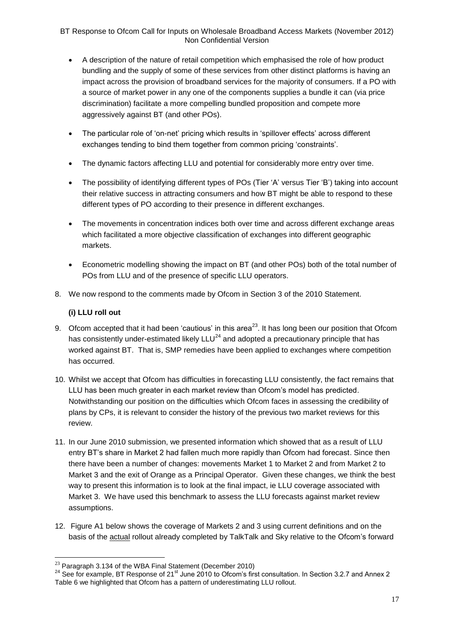- A description of the nature of retail competition which emphasised the role of how product bundling and the supply of some of these services from other distinct platforms is having an impact across the provision of broadband services for the majority of consumers. If a PO with a source of market power in any one of the components supplies a bundle it can (via price discrimination) facilitate a more compelling bundled proposition and compete more aggressively against BT (and other POs).
- The particular role of 'on-net' pricing which results in 'spillover effects' across different exchanges tending to bind them together from common pricing 'constraints'.
- The dynamic factors affecting LLU and potential for considerably more entry over time.
- The possibility of identifying different types of POs (Tier 'A' versus Tier 'B') taking into account their relative success in attracting consumers and how BT might be able to respond to these different types of PO according to their presence in different exchanges.
- The movements in concentration indices both over time and across different exchange areas which facilitated a more objective classification of exchanges into different geographic markets.
- Econometric modelling showing the impact on BT (and other POs) both of the total number of POs from LLU and of the presence of specific LLU operators.
- 8. We now respond to the comments made by Ofcom in Section 3 of the 2010 Statement.

# **(i) LLU roll out**

- 9. Ofcom accepted that it had been 'cautious' in this area<sup>23</sup>. It has long been our position that Ofcom has consistently under-estimated likely  $LLU^{24}$  and adopted a precautionary principle that has worked against BT. That is, SMP remedies have been applied to exchanges where competition has occurred.
- 10. Whilst we accept that Ofcom has difficulties in forecasting LLU consistently, the fact remains that LLU has been much greater in each market review than Ofcom's model has predicted. Notwithstanding our position on the difficulties which Ofcom faces in assessing the credibility of plans by CPs, it is relevant to consider the history of the previous two market reviews for this review.
- 11. In our June 2010 submission, we presented information which showed that as a result of LLU entry BT's share in Market 2 had fallen much more rapidly than Ofcom had forecast. Since then there have been a number of changes: movements Market 1 to Market 2 and from Market 2 to Market 3 and the exit of Orange as a Principal Operator. Given these changes, we think the best way to present this information is to look at the final impact, ie LLU coverage associated with Market 3. We have used this benchmark to assess the LLU forecasts against market review assumptions.
- 12. Figure A1 below shows the coverage of Markets 2 and 3 using current definitions and on the basis of the actual rollout already completed by TalkTalk and Sky relative to the Ofcom's forward

 $^{23}$  Paragraph 3.134 of the WBA Final Statement (December 2010)

<sup>&</sup>lt;sup>24</sup> See for example, BT Response of 21<sup>st</sup> June 2010 to Ofcom's first consultation. In Section 3.2.7 and Annex 2 Table 6 we highlighted that Ofcom has a pattern of underestimating LLU rollout.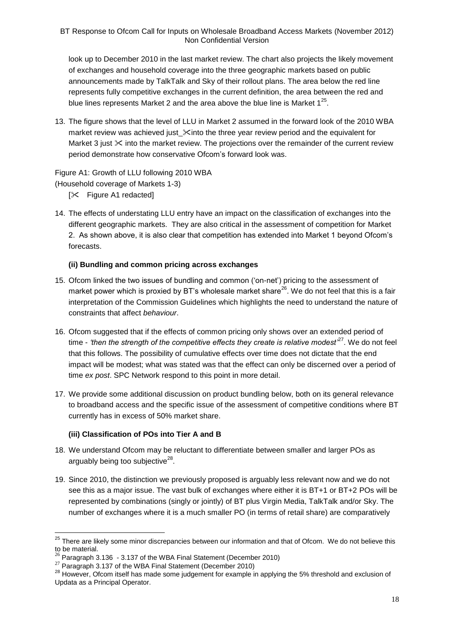look up to December 2010 in the last market review. The chart also projects the likely movement of exchanges and household coverage into the three geographic markets based on public announcements made by TalkTalk and Sky of their rollout plans. The area below the red line represents fully competitive exchanges in the current definition, the area between the red and blue lines represents Market 2 and the area above the blue line is Market  $1^{25}$ .

13. The figure shows that the level of LLU in Market 2 assumed in the forward look of the 2010 WBA market review was achieved just  $\mathcal X$ into the three year review period and the equivalent for Market 3 just  $\&$  into the market review. The projections over the remainder of the current review period demonstrate how conservative Ofcom's forward look was.

#### Figure A1: Growth of LLU following 2010 WBA

(Household coverage of Markets 1-3)

- [ $\times$  Figure A1 redacted]
- 14. The effects of understating LLU entry have an impact on the classification of exchanges into the different geographic markets. They are also critical in the assessment of competition for Market 2. As shown above, it is also clear that competition has extended into Market 1 beyond Ofcom's forecasts.

# **(ii) Bundling and common pricing across exchanges**

- 15. Ofcom linked the two issues of bundling and common ('on-net') pricing to the assessment of market power which is proxied by BT's wholesale market share<sup>26</sup>. We do not feel that this is a fair interpretation of the Commission Guidelines which highlights the need to understand the nature of constraints that affect *behaviour*.
- 16. Ofcom suggested that if the effects of common pricing only shows over an extended period of time - 'then the strength of the competitive effects they create is relative modest<sup>27</sup>. We do not feel that this follows. The possibility of cumulative effects over time does not dictate that the end impact will be modest; what was stated was that the effect can only be discerned over a period of time *ex post*. SPC Network respond to this point in more detail.
- 17. We provide some additional discussion on product bundling below, both on its general relevance to broadband access and the specific issue of the assessment of competitive conditions where BT currently has in excess of 50% market share.

#### **(iii) Classification of POs into Tier A and B**

- 18. We understand Ofcom may be reluctant to differentiate between smaller and larger POs as arguably being too subjective $^{28}$ .
- 19. Since 2010, the distinction we previously proposed is arguably less relevant now and we do not see this as a major issue. The vast bulk of exchanges where either it is BT+1 or BT+2 POs will be represented by combinations (singly or jointly) of BT plus Virgin Media, TalkTalk and/or Sky. The number of exchanges where it is a much smaller PO (in terms of retail share) are comparatively

<sup>&</sup>lt;sup>25</sup> There are likely some minor discrepancies between our information and that of Ofcom. We do not believe this to be material.

 $26$  Paragraph 3.136 - 3.137 of the WBA Final Statement (December 2010)

 $27$  Paragraph 3.137 of the WBA Final Statement (December 2010)

<sup>&</sup>lt;sup>28</sup> However, Ofcom itself has made some judgement for example in applying the 5% threshold and exclusion of Updata as a Principal Operator.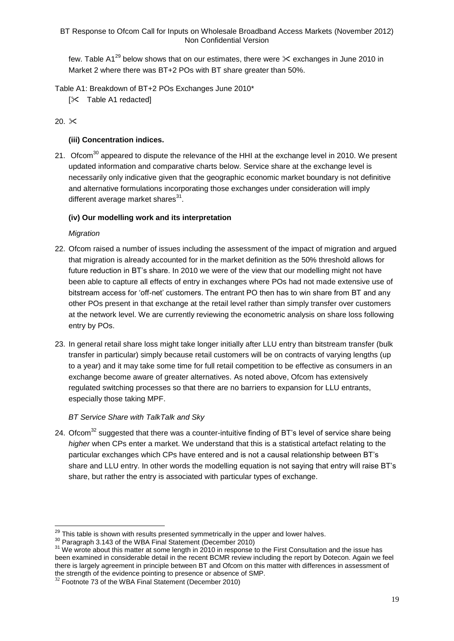few. Table A1<sup>29</sup> below shows that on our estimates, there were  $\times$  exchanges in June 2010 in Market 2 where there was BT+2 POs with BT share greater than 50%.

Table A1: Breakdown of BT+2 POs Exchanges June 2010\*

 $[\times]$  Table A1 redactedl

# 20.  $\times$

# **(iii) Concentration indices.**

21. Ofcom<sup>30</sup> appeared to dispute the relevance of the HHI at the exchange level in 2010. We present updated information and comparative charts below. Service share at the exchange level is necessarily only indicative given that the geographic economic market boundary is not definitive and alternative formulations incorporating those exchanges under consideration will imply different average market shares<sup>31</sup>.

# **(iv) Our modelling work and its interpretation**

# *Migration*

<u>.</u>

- 22. Ofcom raised a number of issues including the assessment of the impact of migration and argued that migration is already accounted for in the market definition as the 50% threshold allows for future reduction in BT's share. In 2010 we were of the view that our modelling might not have been able to capture all effects of entry in exchanges where POs had not made extensive use of bitstream access for 'off-net' customers. The entrant PO then has to win share from BT and any other POs present in that exchange at the retail level rather than simply transfer over customers at the network level. We are currently reviewing the econometric analysis on share loss following entry by POs.
- 23. In general retail share loss might take longer initially after LLU entry than bitstream transfer (bulk transfer in particular) simply because retail customers will be on contracts of varying lengths (up to a year) and it may take some time for full retail competition to be effective as consumers in an exchange become aware of greater alternatives. As noted above, Ofcom has extensively regulated switching processes so that there are no barriers to expansion for LLU entrants, especially those taking MPF.

# *BT Service Share with TalkTalk and Sky*

24. Ofcom<sup>32</sup> suggested that there was a counter-intuitive finding of BT's level of service share being *higher* when CPs enter a market. We understand that this is a statistical artefact relating to the particular exchanges which CPs have entered and is not a causal relationship between BT's share and LLU entry. In other words the modelling equation is not saying that entry will raise BT's share, but rather the entry is associated with particular types of exchange.

 $29$  This table is shown with results presented symmetrically in the upper and lower halves.

<sup>&</sup>lt;sup>30</sup> Paragraph 3.143 of the WBA Final Statement (December 2010)

<sup>&</sup>lt;sup>31</sup> We wrote about this matter at some length in 2010 in response to the First Consultation and the issue has been examined in considerable detail in the recent BCMR review including the report by Dotecon. Again we feel there is largely agreement in principle between BT and Ofcom on this matter with differences in assessment of the strength of the evidence pointing to presence or absence of SMP.

 $32$  Footnote 73 of the WBA Final Statement (December 2010)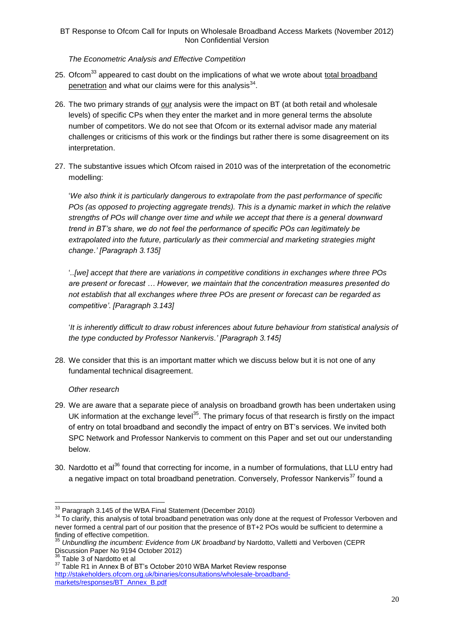## *The Econometric Analysis and Effective Competition*

- 25. Ofcom<sup>33</sup> appeared to cast doubt on the implications of what we wrote about total broadband penetration and what our claims were for this analysis<sup>34</sup>.
- 26. The two primary strands of our analysis were the impact on BT (at both retail and wholesale levels) of specific CPs when they enter the market and in more general terms the absolute number of competitors. We do not see that Ofcom or its external advisor made any material challenges or criticisms of this work or the findings but rather there is some disagreement on its interpretation.
- 27. The substantive issues which Ofcom raised in 2010 was of the interpretation of the econometric modelling:

'*We also think it is particularly dangerous to extrapolate from the past performance of specific POs (as opposed to projecting aggregate trends). This is a dynamic market in which the relative strengths of POs will change over time and while we accept that there is a general downward trend in BT's share, we do not feel the performance of specific POs can legitimately be extrapolated into the future, particularly as their commercial and marketing strategies might change*.*' [Paragraph 3.135]*

'*..[we] accept that there are variations in competitive conditions in exchanges where three POs are present or forecast … However, we maintain that the concentration measures presented do not establish that all exchanges where three POs are present or forecast can be regarded as competitive'*. *[Paragraph 3.143]*

'*It is inherently difficult to draw robust inferences about future behaviour from statistical analysis of the type conducted by Professor Nankervis*.*' [Paragraph 3.145]*

28. We consider that this is an important matter which we discuss below but it is not one of any fundamental technical disagreement.

# *Other research*

- 29. We are aware that a separate piece of analysis on broadband growth has been undertaken using UK information at the exchange level<sup>35</sup>. The primary focus of that research is firstly on the impact of entry on total broadband and secondly the impact of entry on BT's services. We invited both SPC Network and Professor Nankervis to comment on this Paper and set out our understanding below.
- 30. Nardotto et al<sup>36</sup> found that correcting for income, in a number of formulations, that LLU entry had a negative impact on total broadband penetration. Conversely, Professor Nankervis<sup>37</sup> found a

 $33$  Paragraph 3.145 of the WBA Final Statement (December 2010)

<sup>&</sup>lt;sup>34</sup> To clarify, this analysis of total broadband penetration was only done at the request of Professor Verboven and never formed a central part of our position that the presence of BT+2 POs would be sufficient to determine a finding of effective competition.

<sup>35</sup> *Unbundling the incumbent: Evidence from UK broadband* by Nardotto, Valletti and Verboven (CEPR Discussion Paper No 9194 October 2012)

<sup>&</sup>lt;sup>36</sup> Table 3 of Nardotto et al

<sup>&</sup>lt;sup>37</sup> Table R1 in Annex B of BT's October 2010 WBA Market Review response [http://stakeholders.ofcom.org.uk/binaries/consultations/wholesale-broadband](http://stakeholders.ofcom.org.uk/binaries/consultations/wholesale-broadband-markets/responses/BT_Annex_B.pdf)[markets/responses/BT\\_Annex\\_B.pdf](http://stakeholders.ofcom.org.uk/binaries/consultations/wholesale-broadband-markets/responses/BT_Annex_B.pdf)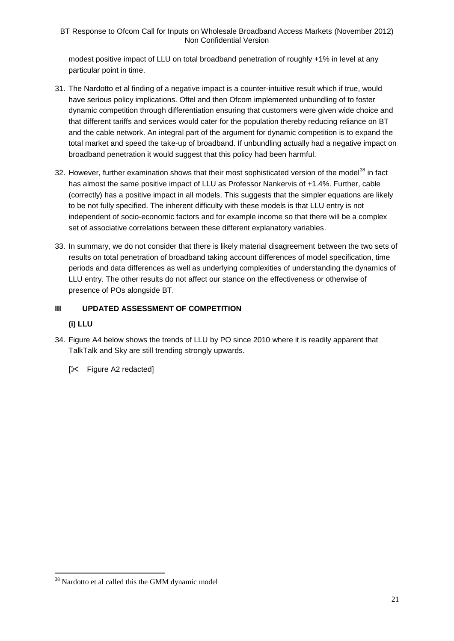modest positive impact of LLU on total broadband penetration of roughly +1% in level at any particular point in time.

- 31. The Nardotto et al finding of a negative impact is a counter-intuitive result which if true, would have serious policy implications. Oftel and then Ofcom implemented unbundling of to foster dynamic competition through differentiation ensuring that customers were given wide choice and that different tariffs and services would cater for the population thereby reducing reliance on BT and the cable network. An integral part of the argument for dynamic competition is to expand the total market and speed the take-up of broadband. If unbundling actually had a negative impact on broadband penetration it would suggest that this policy had been harmful.
- 32. However, further examination shows that their most sophisticated version of the model<sup>38</sup> in fact has almost the same positive impact of LLU as Professor Nankervis of +1.4%. Further, cable (correctly) has a positive impact in all models. This suggests that the simpler equations are likely to be not fully specified. The inherent difficulty with these models is that LLU entry is not independent of socio-economic factors and for example income so that there will be a complex set of associative correlations between these different explanatory variables.
- 33. In summary, we do not consider that there is likely material disagreement between the two sets of results on total penetration of broadband taking account differences of model specification, time periods and data differences as well as underlying complexities of understanding the dynamics of LLU entry. The other results do not affect our stance on the effectiveness or otherwise of presence of POs alongside BT.

# **III UPDATED ASSESSMENT OF COMPETITION**

# **(i) LLU**

1

34. Figure A4 below shows the trends of LLU by PO since 2010 where it is readily apparent that TalkTalk and Sky are still trending strongly upwards.

[ $\angle$  Figure A2 redacted]

<sup>38</sup> Nardotto et al called this the GMM dynamic model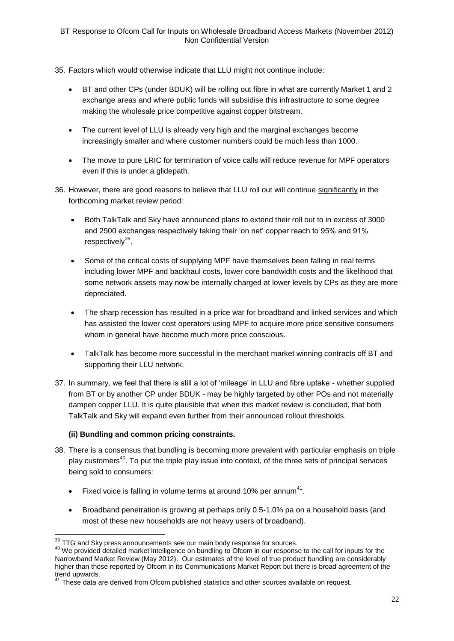- 35. Factors which would otherwise indicate that LLU might not continue include:
	- BT and other CPs (under BDUK) will be rolling out fibre in what are currently Market 1 and 2 exchange areas and where public funds will subsidise this infrastructure to some degree making the wholesale price competitive against copper bitstream.
	- The current level of LLU is already very high and the marginal exchanges become increasingly smaller and where customer numbers could be much less than 1000.
	- The move to pure LRIC for termination of voice calls will reduce revenue for MPF operators even if this is under a glidepath.
- 36. However, there are good reasons to believe that LLU roll out will continue significantly in the forthcoming market review period:
	- Both TalkTalk and Sky have announced plans to extend their roll out to in excess of 3000 and 2500 exchanges respectively taking their 'on net' copper reach to 95% and 91% respectively<sup>39</sup>.
	- Some of the critical costs of supplying MPF have themselves been falling in real terms including lower MPF and backhaul costs, lower core bandwidth costs and the likelihood that some network assets may now be internally charged at lower levels by CPs as they are more depreciated.
	- The sharp recession has resulted in a price war for broadband and linked services and which has assisted the lower cost operators using MPF to acquire more price sensitive consumers whom in general have become much more price conscious.
	- TalkTalk has become more successful in the merchant market winning contracts off BT and supporting their LLU network.
- 37. In summary, we feel that there is still a lot of 'mileage' in LLU and fibre uptake whether supplied from BT or by another CP under BDUK - may be highly targeted by other POs and not materially dampen copper LLU. It is quite plausible that when this market review is concluded, that both TalkTalk and Sky will expand even further from their announced rollout thresholds.

# **(ii) Bundling and common pricing constraints.**

- 38. There is a consensus that bundling is becoming more prevalent with particular emphasis on triple play customers<sup>40</sup>. To put the triple play issue into context, of the three sets of principal services being sold to consumers:
	- Fixed voice is falling in volume terms at around 10% per annum<sup>41</sup>.
	- Broadband penetration is growing at perhaps only 0.5-1.0% pa on a household basis (and most of these new households are not heavy users of broadband).

<sup>1</sup>  $\frac{39}{10}$  TTG and Sky press announcements see our main body response for sources.

<sup>40</sup> We provided detailed market intelligence on bundling to Ofcom in our response to the call for inputs for the Narrowband Market Review (May 2012). Our estimates of the level of true product bundling are considerably higher than those reported by Ofcom in its Communications Market Report but there is broad agreement of the trend upwards.

These data are derived from Ofcom published statistics and other sources available on request.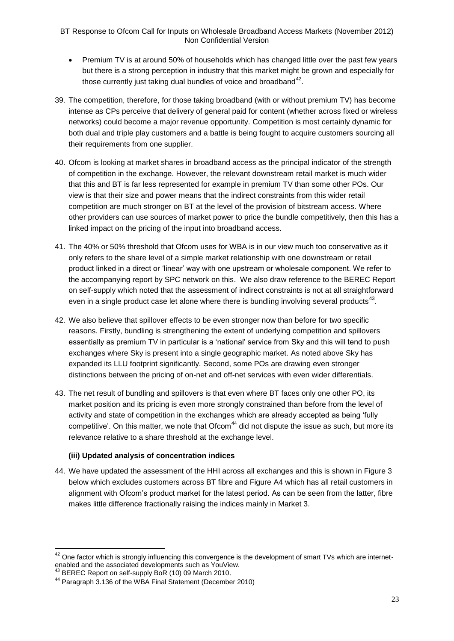- Premium TV is at around 50% of households which has changed little over the past few years but there is a strong perception in industry that this market might be grown and especially for those currently just taking dual bundles of voice and broadband $42$ .
- 39. The competition, therefore, for those taking broadband (with or without premium TV) has become intense as CPs perceive that delivery of general paid for content (whether across fixed or wireless networks) could become a major revenue opportunity. Competition is most certainly dynamic for both dual and triple play customers and a battle is being fought to acquire customers sourcing all their requirements from one supplier.
- 40. Ofcom is looking at market shares in broadband access as the principal indicator of the strength of competition in the exchange. However, the relevant downstream retail market is much wider that this and BT is far less represented for example in premium TV than some other POs. Our view is that their size and power means that the indirect constraints from this wider retail competition are much stronger on BT at the level of the provision of bitstream access. Where other providers can use sources of market power to price the bundle competitively, then this has a linked impact on the pricing of the input into broadband access.
- 41. The 40% or 50% threshold that Ofcom uses for WBA is in our view much too conservative as it only refers to the share level of a simple market relationship with one downstream or retail product linked in a direct or 'linear' way with one upstream or wholesale component. We refer to the accompanying report by SPC network on this. We also draw reference to the BEREC Report on self-supply which noted that the assessment of indirect constraints is not at all straightforward even in a single product case let alone where there is bundling involving several products<sup>43</sup>.
- 42. We also believe that spillover effects to be even stronger now than before for two specific reasons. Firstly, bundling is strengthening the extent of underlying competition and spillovers essentially as premium TV in particular is a 'national' service from Sky and this will tend to push exchanges where Sky is present into a single geographic market. As noted above Sky has expanded its LLU footprint significantly. Second, some POs are drawing even stronger distinctions between the pricing of on-net and off-net services with even wider differentials.
- 43. The net result of bundling and spillovers is that even where BT faces only one other PO, its market position and its pricing is even more strongly constrained than before from the level of activity and state of competition in the exchanges which are already accepted as being 'fully competitive'. On this matter, we note that  $Ofcom<sup>44</sup>$  did not dispute the issue as such, but more its relevance relative to a share threshold at the exchange level.

# **(iii) Updated analysis of concentration indices**

44. We have updated the assessment of the HHI across all exchanges and this is shown in Figure 3 below which excludes customers across BT fibre and Figure A4 which has all retail customers in alignment with Ofcom's product market for the latest period. As can be seen from the latter, fibre makes little difference fractionally raising the indices mainly in Market 3.

 $42$  One factor which is strongly influencing this convergence is the development of smart TVs which are internetenabled and the associated developments such as YouView.

 $\overline{A}$  BEREC Report on self-supply BoR (10) 09 March 2010.

<sup>44</sup> Paragraph 3.136 of the WBA Final Statement (December 2010)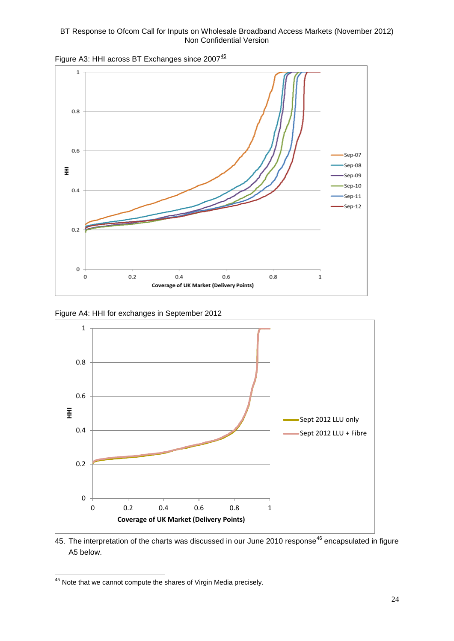

Figure A3: HHI across BT Exchanges since 2007<sup>45</sup>

Figure A4: HHI for exchanges in September 2012



45. The interpretation of the charts was discussed in our June 2010 response<sup>46</sup> encapsulated in figure A5 below.

 $45$  Note that we cannot compute the shares of Virgin Media precisely.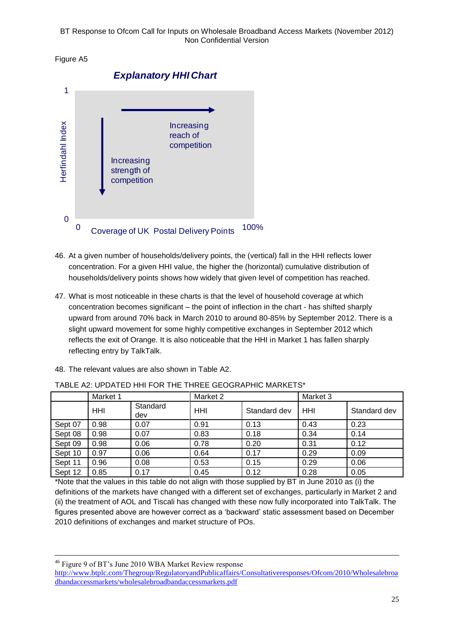Figure A5



- 46. At a given number of households/delivery points, the (vertical) fall in the HHI reflects lower concentration. For a given HHI value, the higher the (horizontal) cumulative distribution of households/delivery points shows how widely that given level of competition has reached.
- 47. What is most noticeable in these charts is that the level of household coverage at which concentration becomes significant – the point of inflection in the chart - has shifted sharply upward from around 70% back in March 2010 to around 80-85% by September 2012. There is a slight upward movement for some highly competitive exchanges in September 2012 which reflects the exit of Orange. It is also noticeable that the HHI in Market 1 has fallen sharply reflecting entry by TalkTalk.

| TABLE A2: UPDATED HHI FOR THE THREE GEOGRAPHIC MARKETS* |            |                 |          |              |          |              |
|---------------------------------------------------------|------------|-----------------|----------|--------------|----------|--------------|
|                                                         | Market 1   |                 | Market 2 |              | Market 3 |              |
|                                                         | <b>HHI</b> | Standard<br>dev | HHI      | Standard dev | HHI      | Standard dev |
| Sept 07                                                 | 0.98       | 0.07            | 0.91     | 0.13         | 0.43     | 0.23         |
| Sept 08                                                 | 0.98       | 0.07            | 0.83     | 0.18         | 0.34     | 0.14         |
| Sept 09                                                 | 0.98       | 0.06            | 0.78     | 0.20         | 0.31     | 0.12         |
| Sept 10                                                 | 0.97       | 0.06            | 0.64     | 0.17         | 0.29     | 0.09         |
| Sept 11                                                 | 0.96       | 0.08            | 0.53     | 0.15         | 0.29     | 0.06         |
| Sept 12                                                 | 0.85       | 0.17            | 0.45     | 0.12         | 0.28     | 0.05         |

48. The relevant values are also shown in Table A2.

\*Note that the values in this table do not align with those supplied by BT in June 2010 as (i) the definitions of the markets have changed with a different set of exchanges, particularly in Market 2 and (ii) the treatment of AOL and Tiscali has changed with these now fully incorporated into TalkTalk. The figures presented above are however correct as a 'backward' static assessment based on December 2010 definitions of exchanges and market structure of POs.

<sup>46</sup> Figure 9 of BT's June 2010 WBA Market Review response

<u>.</u>

[http://www.btplc.com/Thegroup/RegulatoryandPublicaffairs/Consultativeresponses/Ofcom/2010/Wholesalebroa](http://www.btplc.com/Thegroup/RegulatoryandPublicaffairs/Consultativeresponses/Ofcom/2010/Wholesalebroadbandaccessmarkets/wholesalebroadbandaccessmarkets.pdf) [dbandaccessmarkets/wholesalebroadbandaccessmarkets.pdf](http://www.btplc.com/Thegroup/RegulatoryandPublicaffairs/Consultativeresponses/Ofcom/2010/Wholesalebroadbandaccessmarkets/wholesalebroadbandaccessmarkets.pdf)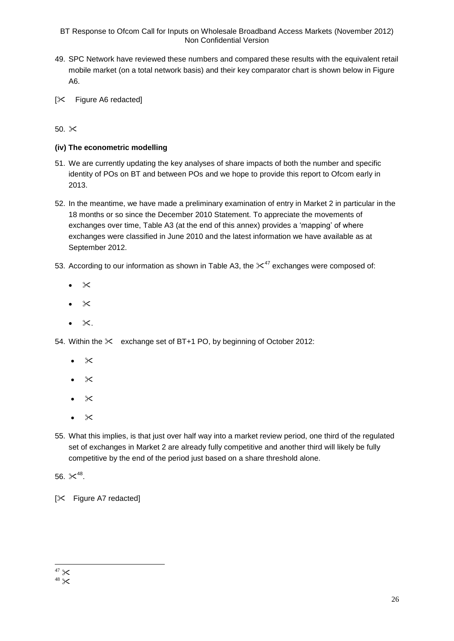- 49. SPC Network have reviewed these numbers and compared these results with the equivalent retail mobile market (on a total network basis) and their key comparator chart is shown below in Figure A6.
- $[\times]$  Figure A6 redacted]

50.  $\infty$ 

# **(iv) The econometric modelling**

- 51. We are currently updating the key analyses of share impacts of both the number and specific identity of POs on BT and between POs and we hope to provide this report to Ofcom early in 2013.
- 52. In the meantime, we have made a preliminary examination of entry in Market 2 in particular in the 18 months or so since the December 2010 Statement. To appreciate the movements of exchanges over time, Table A3 (at the end of this annex) provides a 'mapping' of where exchanges were classified in June 2010 and the latest information we have available as at September 2012.
- 53. According to our information as shown in Table A3, the  $\times^{47}$  exchanges were composed of:
	- $\bullet$   $\times$
	- $\propto$
	- $\bullet \times$ .

54. Within the  $\times$  exchange set of BT+1 PO, by beginning of October 2012:

- $\times$
- $\mathsf{\geq}$
- $\times$
- $\bullet \times$
- 55. What this implies, is that just over half way into a market review period, one third of the regulated set of exchanges in Market 2 are already fully competitive and another third will likely be fully competitive by the end of the period just based on a share threshold alone.

56.  $\times^{48}$ .

[ $\times$  Figure A7 redacted]

<sup>1</sup> 

 $47 \times 48 \times 48$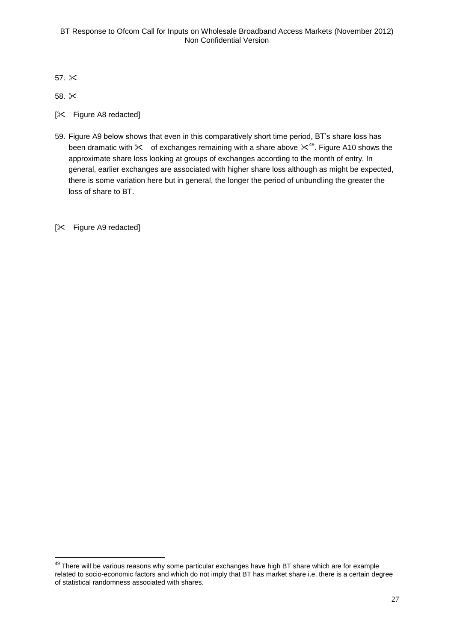57.

58.  $\approx$ 

1

- $[\times$  Figure A8 redacted]
- 59. Figure A9 below shows that even in this comparatively short time period, BT's share loss has been dramatic with  $\times$  of exchanges remaining with a share above  $\times^{49}$ . Figure A10 shows the approximate share loss looking at groups of exchanges according to the month of entry. In general, earlier exchanges are associated with higher share loss although as might be expected, there is some variation here but in general, the longer the period of unbundling the greater the loss of share to BT.

 $[\times]$  Figure A9 redacted]

 $49$  There will be various reasons why some particular exchanges have high BT share which are for example related to socio-economic factors and which do not imply that BT has market share i.e. there is a certain degree of statistical randomness associated with shares.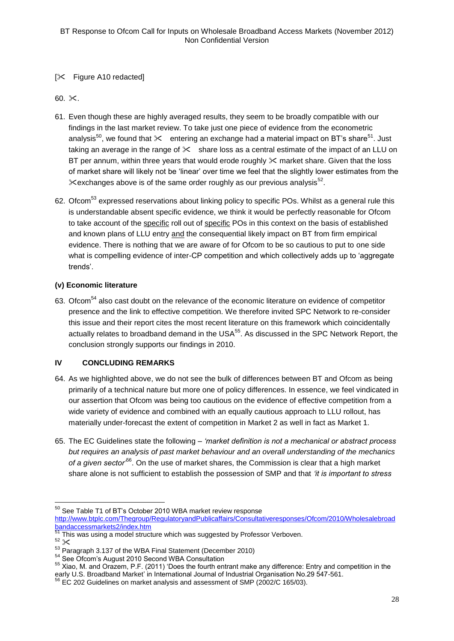# [ $\angle$  Figure A10 redacted]

60.  $\times$ .

- 61. Even though these are highly averaged results, they seem to be broadly compatible with our findings in the last market review. To take just one piece of evidence from the econometric analysis<sup>50</sup>, we found that  $\chi$  entering an exchange had a material impact on BT's share<sup>51</sup>. Just taking an average in the range of  $\chi$  share loss as a central estimate of the impact of an LLU on BT per annum, within three years that would erode roughly  $\times$  market share. Given that the loss of market share will likely not be 'linear' over time we feel that the slightly lower estimates from the  $\%$  exchanges above is of the same order roughly as our previous analysis<sup>52</sup>.
- 62. Ofcom<sup>53</sup> expressed reservations about linking policy to specific POs. Whilst as a general rule this is understandable absent specific evidence, we think it would be perfectly reasonable for Ofcom to take account of the specific roll out of specific POs in this context on the basis of established and known plans of LLU entry and the consequential likely impact on BT from firm empirical evidence. There is nothing that we are aware of for Ofcom to be so cautious to put to one side what is compelling evidence of inter-CP competition and which collectively adds up to 'aggregate trends'.

# **(v) Economic literature**

63. Ofcom<sup>54</sup> also cast doubt on the relevance of the economic literature on evidence of competitor presence and the link to effective competition. We therefore invited SPC Network to re-consider this issue and their report cites the most recent literature on this framework which coincidentally actually relates to broadband demand in the USA<sup>55</sup>. As discussed in the SPC Network Report, the conclusion strongly supports our findings in 2010.

# **IV CONCLUDING REMARKS**

- 64. As we highlighted above, we do not see the bulk of differences between BT and Ofcom as being primarily of a technical nature but more one of policy differences. In essence, we feel vindicated in our assertion that Ofcom was being too cautious on the evidence of effective competition from a wide variety of evidence and combined with an equally cautious approach to LLU rollout, has materially under-forecast the extent of competition in Market 2 as well in fact as Market 1.
- 65. The EC Guidelines state the following *'market definition is not a mechanical or abstract process but requires an analysis of past market behaviour and an overall understanding of the mechanics of a given sector'*<sup>56</sup>. On the use of market shares, the Commission is clear that a high market share alone is not sufficient to establish the possession of SMP and that *'it is important to stress*

<u>.</u>

 $50$  See Table T1 of BT's October 2010 WBA market review response

[http://www.btplc.com/Thegroup/RegulatoryandPublicaffairs/Consultativeresponses/Ofcom/2010/Wholesalebroad](http://www.btplc.com/Thegroup/RegulatoryandPublicaffairs/Consultativeresponses/Ofcom/2010/Wholesalebroadbandaccessmarkets2/index.htm) [bandaccessmarkets2/index.htm](http://www.btplc.com/Thegroup/RegulatoryandPublicaffairs/Consultativeresponses/Ofcom/2010/Wholesalebroadbandaccessmarkets2/index.htm)

<sup>&</sup>lt;sup>51</sup> This was using a model structure which was suggested by Professor Verboven.

 $52 \times$ <br> $53$  Paragraph 3.137 of the WBA Final Statement (December 2010)

<sup>54</sup> See Ofcom's August 2010 Second WBA Consultation

<sup>55</sup> Xiao, M. and Orazem, P.F. (2011) 'Does the fourth entrant make any difference: Entry and competition in the early U.S. Broadband Market' in International Journal of Industrial Organisation No.29 547-561.

<sup>56</sup> EC 202 Guidelines on market analysis and assessment of SMP (2002/C 165/03).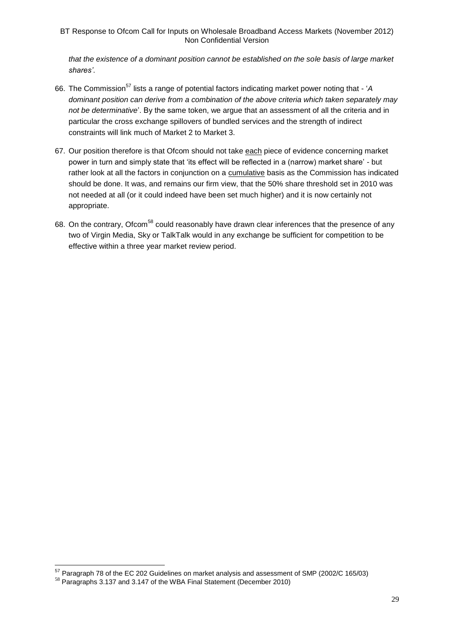*that the existence of a dominant position cannot be established on the sole basis of large market shares'*.

- 66. The Commission<sup>57</sup> lists a range of potential factors indicating market power noting that 'A *dominant position can derive from a combination of the above criteria which taken separately may not be determinative*'. By the same token, we argue that an assessment of all the criteria and in particular the cross exchange spillovers of bundled services and the strength of indirect constraints will link much of Market 2 to Market 3.
- 67. Our position therefore is that Ofcom should not take each piece of evidence concerning market power in turn and simply state that 'its effect will be reflected in a (narrow) market share' - but rather look at all the factors in conjunction on a cumulative basis as the Commission has indicated should be done. It was, and remains our firm view, that the 50% share threshold set in 2010 was not needed at all (or it could indeed have been set much higher) and it is now certainly not appropriate.
- 68. On the contrary, Ofcom<sup>58</sup> could reasonably have drawn clear inferences that the presence of any two of Virgin Media, Sky or TalkTalk would in any exchange be sufficient for competition to be effective within a three year market review period.

<u>.</u>

 $57$  Paragraph 78 of the EC 202 Guidelines on market analysis and assessment of SMP (2002/C 165/03)

<sup>58</sup> Paragraphs 3.137 and 3.147 of the WBA Final Statement (December 2010)